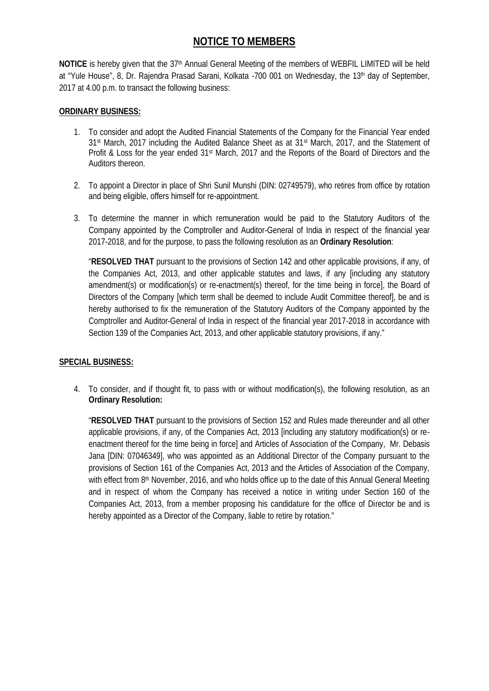# **NOTICE TO MEMBERS**

NOTICE is hereby given that the 37<sup>th</sup> Annual General Meeting of the members of WEBFIL LIMITED will be held at "Yule House", 8, Dr. Rajendra Prasad Sarani, Kolkata -700 001 on Wednesday, the 13<sup>th</sup> day of September, 2017 at 4.00 p.m. to transact the following business:

## **ORDINARY BUSINESS:**

- 1. To consider and adopt the Audited Financial Statements of the Company for the Financial Year ended 31st March, 2017 including the Audited Balance Sheet as at 31st March, 2017, and the Statement of Profit & Loss for the year ended 31<sup>st</sup> March, 2017 and the Reports of the Board of Directors and the Auditors thereon.
- 2. To appoint a Director in place of Shri Sunil Munshi (DIN: 02749579), who retires from office by rotation and being eligible, offers himself for re-appointment.
- 3. To determine the manner in which remuneration would be paid to the Statutory Auditors of the Company appointed by the Comptroller and Auditor-General of India in respect of the financial year 2017-2018, and for the purpose, to pass the following resolution as an **Ordinary Resolution**:

"**RESOLVED THAT** pursuant to the provisions of Section 142 and other applicable provisions, if any, of the Companies Act, 2013, and other applicable statutes and laws, if any [including any statutory amendment(s) or modification(s) or re-enactment(s) thereof, for the time being in force], the Board of Directors of the Company [which term shall be deemed to include Audit Committee thereof], be and is hereby authorised to fix the remuneration of the Statutory Auditors of the Company appointed by the Comptroller and Auditor-General of India in respect of the financial year 2017-2018 in accordance with Section 139 of the Companies Act, 2013, and other applicable statutory provisions, if any."

## **SPECIAL BUSINESS:**

4. To consider, and if thought fit, to pass with or without modification(s), the following resolution, as an **Ordinary Resolution:**

"**RESOLVED THAT** pursuant to the provisions of Section 152 and Rules made thereunder and all other applicable provisions, if any, of the Companies Act, 2013 [including any statutory modification(s) or re enactment thereof for the time being in force] and Articles of Association of the Company, Mr. Debasis Jana [DIN: 07046349], who was appointed as an Additional Director of the Company pursuant to the provisions of Section 161 of the Companies Act, 2013 and the Articles of Association of the Company, with effect from 8<sup>th</sup> November, 2016, and who holds office up to the date of this Annual General Meeting and in respect of whom the Company has received a notice in writing under Section 160 of the Companies Act, 2013, from a member proposing his candidature for the office of Director be and is hereby appointed as a Director of the Company, liable to retire by rotation."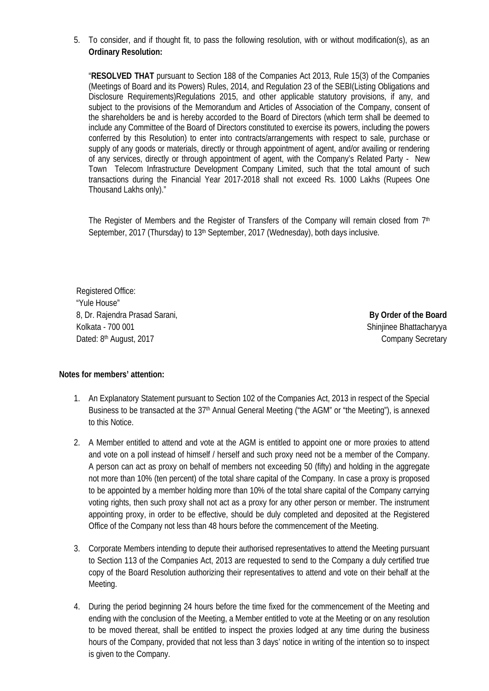5. To consider, and if thought fit, to pass the following resolution, with or without modification(s), as an **Ordinary Resolution:**

"**RESOLVED THAT** pursuant to Section 188 of the Companies Act 2013, Rule 15(3) of the Companies (Meetings of Board and its Powers) Rules, 2014, and Regulation 23 of the SEBI(Listing Obligations and Disclosure Requirements)Regulations 2015, and other applicable statutory provisions, if any, and subject to the provisions of the Memorandum and Articles of Association of the Company, consent of the shareholders be and is hereby accorded to the Board of Directors (which term shall be deemed to include any Committee of the Board of Directors constituted to exercise its powers, including the powers conferred by this Resolution) to enter into contracts/arrangements with respect to sale, purchase or supply of any goods or materials, directly or through appointment of agent, and/or availing or rendering of any services, directly or through appointment of agent, with the Company's Related Party - New Town Telecom Infrastructure Development Company Limited, such that the total amount of such transactions during the Financial Year 2017-2018 shall not exceed Rs. 1000 Lakhs (Rupees One Thousand Lakhs only)."

The Register of Members and the Register of Transfers of the Company will remain closed from 7<sup>th</sup> September, 2017 (Thursday) to 13<sup>th</sup> September, 2017 (Wednesday), both days inclusive.

Registered Office: "Yule House" 8, Dr. Rajendra Prasad Sarani, **By Order of the Board** Kolkata - 700 001 Shinjinee Bhattacharyya Dated: 8<sup>th</sup> August, 2017

Company Secretary

**Notes for members' attention:**

- 1. An Explanatory Statement pursuant to Section 102 of the Companies Act, 2013 in respect of the Special Business to be transacted at the 37<sup>th</sup> Annual General Meeting ("the AGM" or "the Meeting"), is annexed to this Notice.
- 2. A Member entitled to attend and vote at the AGM is entitled to appoint one or more proxies to attend and vote on a poll instead of himself / herself and such proxy need not be a member of the Company. A person can act as proxy on behalf of members not exceeding 50 (fifty) and holding in the aggregate not more than 10% (ten percent) of the total share capital of the Company. In case a proxy is proposed to be appointed by a member holding more than 10% of the total share capital of the Company carrying voting rights, then such proxy shall not act as a proxy for any other person or member. The instrument appointing proxy, in order to be effective, should be duly completed and deposited at the Registered Office of the Company not less than 48 hours before the commencement of the Meeting.
- 3. Corporate Members intending to depute their authorised representatives to attend the Meeting pursuant to Section 113 of the Companies Act, 2013 are requested to send to the Company a duly certified true copy of the Board Resolution authorizing their representatives to attend and vote on their behalf at the Meeting.
- 4. During the period beginning 24 hours before the time fixed for the commencement of the Meeting and ending with the conclusion of the Meeting, a Member entitled to vote at the Meeting or on any resolution to be moved thereat, shall be entitled to inspect the proxies lodged at any time during the business hours of the Company, provided that not less than 3 days' notice in writing of the intention so to inspect is given to the Company.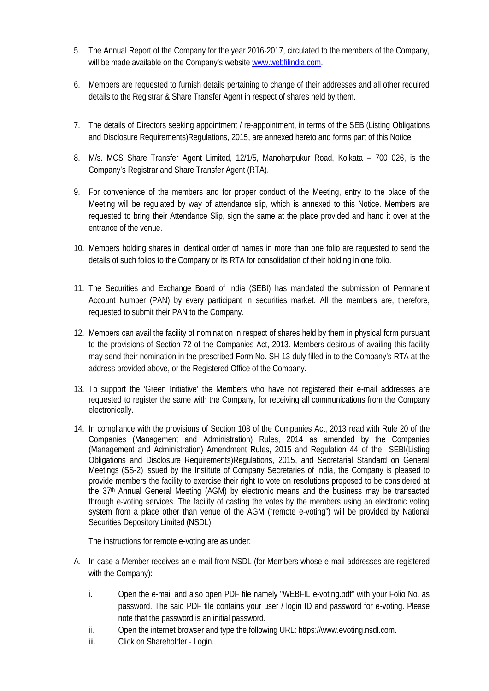- 5. The Annual Report of the Company for the year 2016-2017, circulated to the members of the Company, will be made available on the Company's website www.webfilindia.com.
- 6. Members are requested to furnish details pertaining to change of their addresses and all other required details to the Registrar & Share Transfer Agent in respect of shares held by them.
- 7. The details of Directors seeking appointment / re-appointment, in terms of the SEBI(Listing Obligations and Disclosure Requirements)Regulations, 2015, are annexed hereto and forms part of this Notice.
- 8. M/s. MCS Share Transfer Agent Limited, 12/1/5, Manoharpukur Road, Kolkata 700 026, is the Company's Registrar and Share Transfer Agent (RTA).
- 9. For convenience of the members and for proper conduct of the Meeting, entry to the place of the Meeting will be regulated by way of attendance slip, which is annexed to this Notice. Members are requested to bring their Attendance Slip, sign the same at the place provided and hand it over at the entrance of the venue.
- 10. Members holding shares in identical order of names in more than one folio are requested to send the details of such folios to the Company or its RTA for consolidation of their holding in one folio.
- 11. The Securities and Exchange Board of India (SEBI) has mandated the submission of Permanent Account Number (PAN) by every participant in securities market. All the members are, therefore, requested to submit their PAN to the Company.
- 12. Members can avail the facility of nomination in respect of shares held by them in physical form pursuant to the provisions of Section 72 of the Companies Act, 2013. Members desirous of availing this facility may send their nomination in the prescribed Form No. SH-13 duly filled in to the Company's RTA at the address provided above, or the Registered Office of the Company.
- 13. To support the 'Green Initiative' the Members who have not registered their e-mail addresses are requested to register the same with the Company, for receiving all communications from the Company electronically.
- 14. In compliance with the provisions of Section 108 of the Companies Act, 2013 read with Rule 20 of the Companies (Management and Administration) Rules, 2014 as amended by the Companies (Management and Administration) Amendment Rules, 2015 and Regulation 44 of the SEBI(Listing Obligations and Disclosure Requirements)Regulations, 2015, and Secretarial Standard on General Meetings (SS-2) issued by the Institute of Company Secretaries of India, the Company is pleased to provide members the facility to exercise their right to vote on resolutions proposed to be considered at the 37<sup>th</sup> Annual General Meeting (AGM) by electronic means and the business may be transacted through e-voting services. The facility of casting the votes by the members using an electronic voting system from a place other than venue of the AGM ("remote e-voting") will be provided by National Securities Depository Limited (NSDL).

The instructions for remote e-voting are as under:

- A. In case a Member receives an e-mail from NSDL (for Members whose e-mail addresses are registered with the Company):
	- i. Open the e-mail and also open PDF file namely "WEBFIL e-voting.pdf" with your Folio No. as password. The said PDF file contains your user / login ID and password for e-voting. Please note that the password is an initial password.
	- ii. Open the internet browser and type the following URL: https://www.evoting.nsdl.com.
	- iii. Click on Shareholder Login.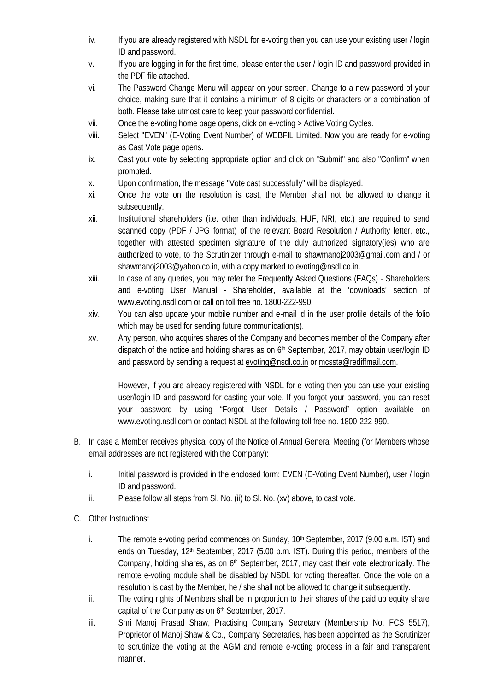- iv. If you are already registered with NSDL for e-voting then you can use your existing user / login ID and password.
- v. If you are logging in for the first time, please enter the user / login ID and password provided in the PDF file attached.
- vi. The Password Change Menu will appear on your screen. Change to a new password of your choice, making sure that it contains a minimum of 8 digits or characters or a combination of both. Please take utmost care to keep your password confidential.
- vii. Once the e-voting home page opens, click on e-voting > Active Voting Cycles.
- viii. Select "EVEN" (E-Voting Event Number) of WEBFIL Limited. Now you are ready for e-voting as Cast Vote page opens.
- ix. Cast your vote by selecting appropriate option and click on "Submit" and also "Confirm" when prompted.
- x. Upon confirmation, the message "Vote cast successfully" will be displayed.
- xi. Once the vote on the resolution is cast, the Member shall not be allowed to change it subsequently.
- xii. Institutional shareholders (i.e. other than individuals, HUF, NRI, etc.) are required to send scanned copy (PDF / JPG format) of the relevant Board Resolution / Authority letter, etc., together with attested specimen signature of the duly authorized signatory(ies) who are authorized to vote, to the Scrutinizer through e-mail to shawmanoj2003@gmail.com and / or shawmanoj2003@yahoo.co.in, with a copy marked to evoting@nsdl.co.in.
- xiii. In case of any queries, you may refer the Frequently Asked Questions (FAQs) Shareholders and e-voting User Manual - Shareholder, available at the 'downloads' section of www.evoting.nsdl.com or call on toll free no. 1800-222-990.
- xiv. You can also update your mobile number and e-mail id in the user profile details of the folio which may be used for sending future communication(s).
- xv. Any person, who acquires shares of the Company and becomes member of the Company after dispatch of the notice and holding shares as on 6<sup>th</sup> September, 2017, may obtain user/login ID and password by sending a request at evoting@nsdl.co.in or mcssta@rediffmail.com.

However, if you are already registered with NSDL for e-voting then you can use your existing user/login ID and password for casting your vote. If you forgot your password, you can reset your password by using "Forgot User Details / Password" option available on www.evoting.nsdl.com or contact NSDL at the following toll free no. 1800-222-990.

- B. In case a Member receives physical copy of the Notice of Annual General Meeting (for Members whose email addresses are not registered with the Company):
	- i. Initial password is provided in the enclosed form: EVEN (E-Voting Event Number), user / login ID and password.
	- ii. Please follow all steps from Sl. No. (ii) to Sl. No. (xv) above, to cast vote.
- C. Other Instructions:
	- i. The remote e-voting period commences on Sunday, 10<sup>th</sup> September, 2017 (9.00 a.m. IST) and ends on Tuesday, 12<sup>th</sup> September, 2017 (5.00 p.m. IST). During this period, members of the Company, holding shares, as on 6<sup>th</sup> September, 2017, may cast their vote electronically. The remote e-voting module shall be disabled by NSDL for voting thereafter. Once the vote on a resolution is cast by the Member, he / she shall not be allowed to change it subsequently.
	- ii. The voting rights of Members shall be in proportion to their shares of the paid up equity share capital of the Company as on 6<sup>th</sup> September, 2017.
	- iii. Shri Manoj Prasad Shaw, Practising Company Secretary (Membership No. FCS 5517), Proprietor of Manoj Shaw & Co., Company Secretaries, has been appointed as the Scrutinizer to scrutinize the voting at the AGM and remote e-voting process in a fair and transparent manner.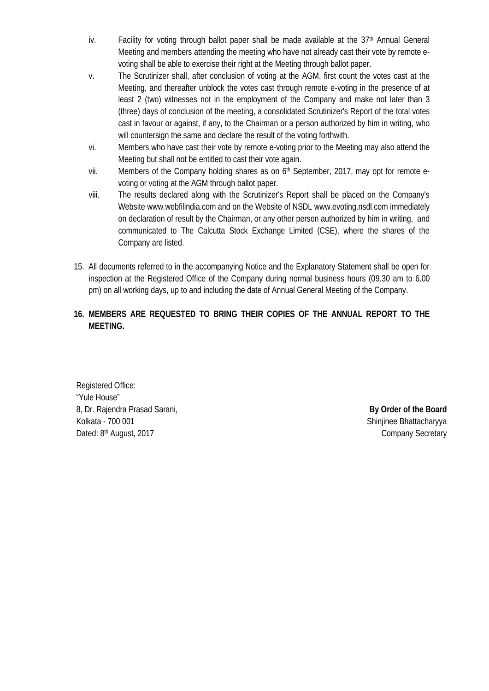- iv. Facility for voting through ballot paper shall be made available at the 37<sup>th</sup> Annual General Meeting and members attending the meeting who have not already cast their vote by remote e voting shall be able to exercise their right at the Meeting through ballot paper.
- v. The Scrutinizer shall, after conclusion of voting at the AGM, first count the votes cast at the Meeting, and thereafter unblock the votes cast through remote e-voting in the presence of at least 2 (two) witnesses not in the employment of the Company and make not later than 3 (three) days of conclusion of the meeting, a consolidated Scrutinizer's Report of the total votes cast in favour or against, if any, to the Chairman or a person authorized by him in writing, who will countersign the same and declare the result of the voting forthwith.
- vi. Members who have cast their vote by remote e-voting prior to the Meeting may also attend the Meeting but shall not be entitled to cast their vote again.
- vii. Members of the Company holding shares as on 6<sup>th</sup> September, 2017, may opt for remote evoting or voting at the AGM through ballot paper.
- viii. The results declared along with the Scrutinizer's Report shall be placed on the Company's Website www.webfilindia.com and on the Website of NSDL www.evoting.nsdl.com immediately on declaration of result by the Chairman, or any other person authorized by him in writing, and communicated to The Calcutta Stock Exchange Limited (CSE), where the shares of the Company are listed.
- 15. All documents referred to in the accompanying Notice and the Explanatory Statement shall be open for inspection at the Registered Office of the Company during normal business hours (09.30 am to 6.00 pm) on all working days, up to and including the date of Annual General Meeting of the Company.
- **16. MEMBERS ARE REQUESTED TO BRING THEIR COPIES OF THE ANNUAL REPORT TO THE MEETING.**

Registered Office: "Yule House" 8, Dr. Rajendra Prasad Sarani, **By Order of the Board** Kolkata - 700 001 Shinjinee Bhattacharyya Dated: 8<sup>th</sup> August, 2017

Company Secretary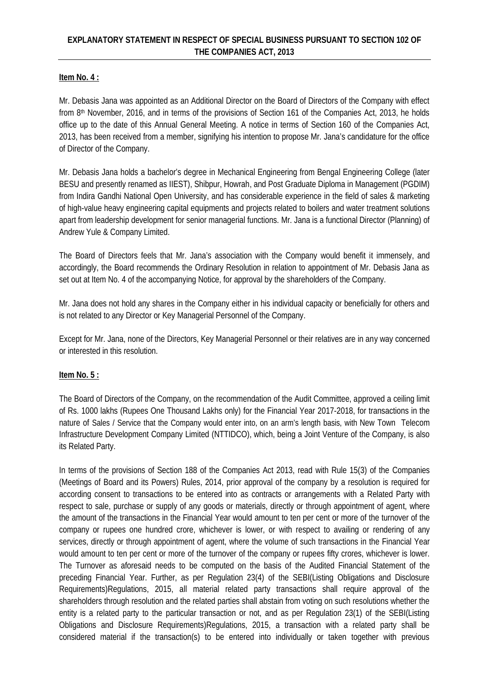## **Item No. 4 :**

Mr. Debasis Jana was appointed as an Additional Director on the Board of Directors of the Company with effect from 8th November, 2016, and in terms of the provisions of Section 161 of the Companies Act, 2013, he holds office up to the date of this Annual General Meeting. A notice in terms of Section 160 of the Companies Act, 2013, has been received from a member, signifying his intention to propose Mr. Jana's candidature for the office of Director of the Company.

Mr. Debasis Jana holds a bachelor's degree in Mechanical Engineering from Bengal Engineering College (later BESU and presently renamed as IIEST), Shibpur, Howrah, and Post Graduate Diploma in Management (PGDIM) from Indira Gandhi National Open University, and has considerable experience in the field of sales & marketing of high-value heavy engineering capital equipments and projects related to boilers and water treatment solutions apart from leadership development for senior managerial functions. Mr. Jana is a functional Director (Planning) of Andrew Yule & Company Limited.

The Board of Directors feels that Mr. Jana's association with the Company would benefit it immensely, and accordingly, the Board recommends the Ordinary Resolution in relation to appointment of Mr. Debasis Jana as set out at Item No. 4 of the accompanying Notice, for approval by the shareholders of the Company.

Mr. Jana does not hold any shares in the Company either in his individual capacity or beneficially for others and is not related to any Director or Key Managerial Personnel of the Company.

Except for Mr. Jana, none of the Directors, Key Managerial Personnel or their relatives are in any way concerned or interested in this resolution.

## **Item No. 5 :**

The Board of Directors of the Company, on the recommendation of the Audit Committee, approved a ceiling limit of Rs. 1000 lakhs (Rupees One Thousand Lakhs only) for the Financial Year 2017-2018, for transactions in the nature of Sales / Service that the Company would enter into, on an arm's length basis, with New Town Telecom Infrastructure Development Company Limited (NTTIDCO), which, being a Joint Venture of the Company, is also its Related Party.

In terms of the provisions of Section 188 of the Companies Act 2013, read with Rule 15(3) of the Companies (Meetings of Board and its Powers) Rules, 2014, prior approval of the company by a resolution is required for according consent to transactions to be entered into as contracts or arrangements with a Related Party with respect to sale, purchase or supply of any goods or materials, directly or through appointment of agent, where the amount of the transactions in the Financial Year would amount to ten per cent or more of the turnover of the company or rupees one hundred crore, whichever is lower, or with respect to availing or rendering of any services, directly or through appointment of agent, where the volume of such transactions in the Financial Year would amount to ten per cent or more of the turnover of the company or rupees fifty crores, whichever is lower. The Turnover as aforesaid needs to be computed on the basis of the Audited Financial Statement of the preceding Financial Year. Further, as per Regulation 23(4) of the SEBI(Listing Obligations and Disclosure Requirements)Regulations, 2015, all material related party transactions shall require approval of the shareholders through resolution and the related parties shall abstain from voting on such resolutions whether the entity is a related party to the particular transaction or not, and as per Regulation 23(1) of the SEBI(Listing Obligations and Disclosure Requirements)Regulations, 2015, a transaction with a related party shall be considered material if the transaction(s) to be entered into individually or taken together with previous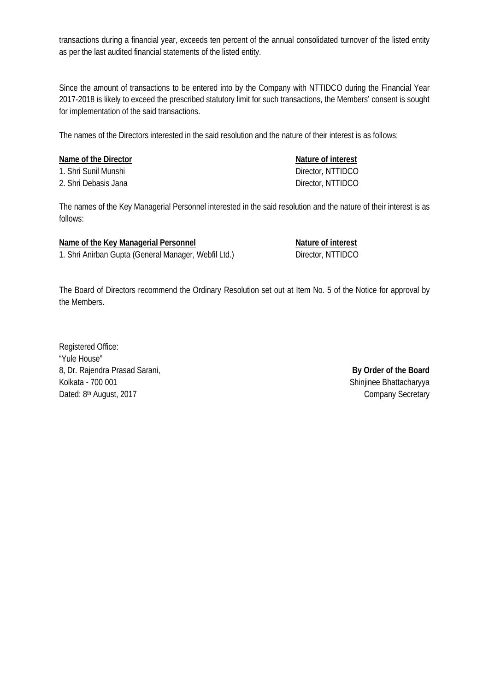transactions during a financial year, exceeds ten percent of the annual consolidated turnover of the listed entity as per the last audited financial statements of the listed entity.

Since the amount of transactions to be entered into by the Company with NTTIDCO during the Financial Year 2017-2018 is likely to exceed the prescribed statutory limit for such transactions, the Members' consent is sought for implementation of the said transactions.

The names of the Directors interested in the said resolution and the nature of their interest is as follows:

| Nature of interest |
|--------------------|
| Director, NTTIDCO  |
| Director, NTTIDCO  |
|                    |

The names of the Key Managerial Personnel interested in the said resolution and the nature of their interest is as follows:

| Name of the Key Managerial Personnel                 | Nature of interest |
|------------------------------------------------------|--------------------|
| 1. Shri Anirban Gupta (General Manager, Webfil Ltd.) | Director, NTTIDCO  |

The Board of Directors recommend the Ordinary Resolution set out at Item No. 5 of the Notice for approval by the Members.

Registered Office: "Yule House" 8, Dr. Rajendra Prasad Sarani, **By Order of the Board** Kolkata - 700 001 Shinjinee Bhattacharyya Dated: 8th August, 2017

Company Secretary